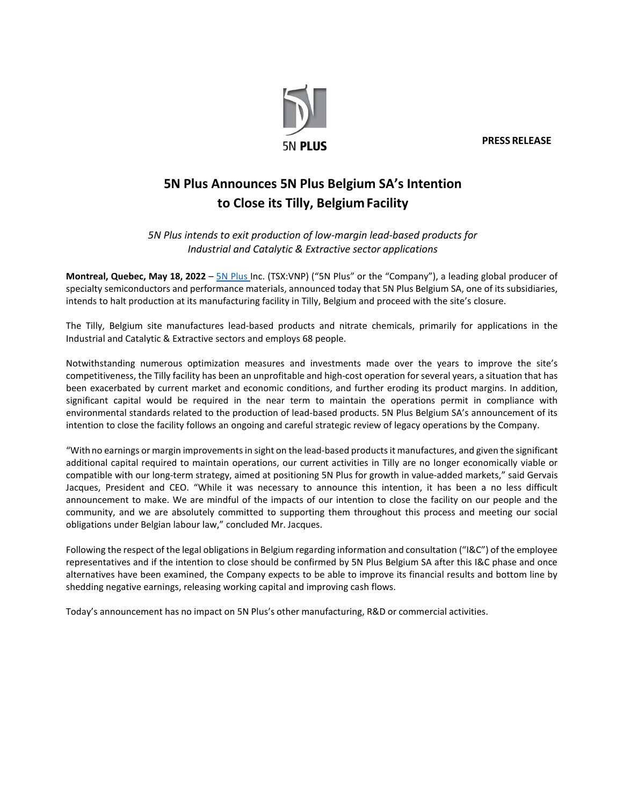

**PRESS RELEASE**

## **5N Plus Announces 5N Plus Belgium SA's Intention to Close its Tilly, BelgiumFacility**

*5N Plus intends to exit production of low-margin lead-based products for Industrial and Catalytic & Extractive sector applications*

**Montreal, Quebec, May 18, 2022** – [5N Plus I](https://www.5nplus.com/%23?lang=en)nc. (TSX:VNP) ("5N Plus" or the "Company"), a leading global producer of specialty semiconductors and performance materials, announced today that 5N Plus Belgium SA, one of its subsidiaries, intends to halt production at its manufacturing facility in Tilly, Belgium and proceed with the site's closure.

The Tilly, Belgium site manufactures lead-based products and nitrate chemicals, primarily for applications in the Industrial and Catalytic & Extractive sectors and employs 68 people.

Notwithstanding numerous optimization measures and investments made over the years to improve the site's competitiveness, the Tilly facility has been an unprofitable and high-cost operation forseveral years, a situation that has been exacerbated by current market and economic conditions, and further eroding its product margins. In addition, significant capital would be required in the near term to maintain the operations permit in compliance with environmental standards related to the production of lead-based products. 5N Plus Belgium SA's announcement of its intention to close the facility follows an ongoing and careful strategic review of legacy operations by the Company.

"Withno earnings or margin improvements in sight on the lead-based products it manufactures, and given the significant additional capital required to maintain operations, our current activities in Tilly are no longer economically viable or compatible with our long-term strategy, aimed at positioning 5N Plus for growth in value-added markets," said Gervais Jacques, President and CEO. "While it was necessary to announce this intention, it has been a no less difficult announcement to make. We are mindful of the impacts of our intention to close the facility on our people and the community, and we are absolutely committed to supporting them throughout this process and meeting our social obligations under Belgian labour law," concluded Mr. Jacques.

Following the respect of the legal obligations in Belgium regarding information and consultation ("I&C") of the employee representatives and if the intention to close should be confirmed by 5N Plus Belgium SA after this I&C phase and once alternatives have been examined, the Company expects to be able to improve its financial results and bottom line by shedding negative earnings, releasing working capital and improving cash flows.

Today's announcement has no impact on 5N Plus's other manufacturing, R&D or commercial activities.